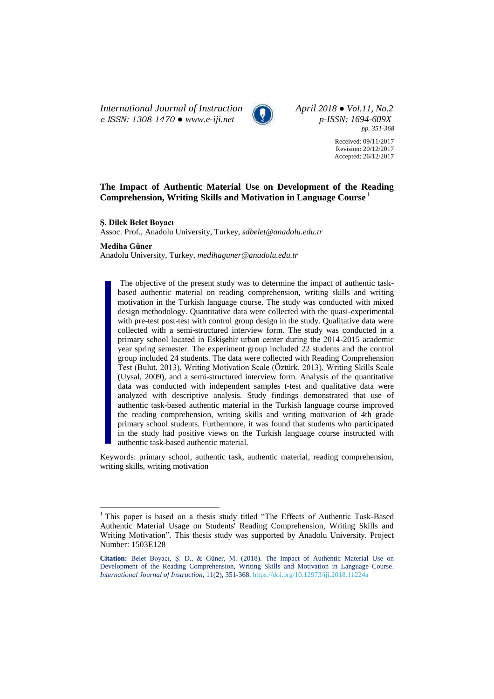*International Journal of Instruction April 2018 ● Vol.11, No.2 e-ISSN: 1308-1470 ● [www.e-iji.net](http://www.e-iji.net/) p-ISSN: 1694-609X*



*pp. 351-368*

Received: 09/11/2017 Revision: 20/12/2017 Accepted: 26/12/2017

# **The Impact of Authentic Material Use on Development of the Reading Comprehension, Writing Skills and Motivation in Language Course <sup>1</sup>**

**Ş. Dilek Belet Boyacı**

Assoc. Prof., Anadolu University, Turkey, *sdbelet@anadolu.edu.tr*

#### **Mediha Güner**

 $\overline{a}$ 

Anadolu University, Turkey, *medihaguner@anadolu.edu.tr*

The objective of the present study was to determine the impact of authentic taskbased authentic material on reading comprehension, writing skills and writing motivation in the Turkish language course. The study was conducted with mixed design methodology. Quantitative data were collected with the quasi-experimental with pre-test post-test with control group design in the study. Qualitative data were collected with a semi-structured interview form. The study was conducted in a primary school located in Eskişehir urban center during the 2014-2015 academic year spring semester. The experiment group included 22 students and the control group included 24 students. The data were collected with Reading Comprehension Test (Bulut, 2013), Writing Motivation Scale (Öztürk, 2013), Writing Skills Scale (Uysal, 2009), and a semi-structured interview form. Analysis of the quantitative data was conducted with independent samples t-test and qualitative data were analyzed with descriptive analysis. Study findings demonstrated that use of authentic task-based authentic material in the Turkish language course improved the reading comprehension, writing skills and writing motivation of 4th grade primary school students. Furthermore, it was found that students who participated in the study had positive views on the Turkish language course instructed with authentic task-based authentic material.

Keywords: primary school, authentic task, authentic material, reading comprehension, writing skills, writing motivation

<sup>&</sup>lt;sup>1</sup> This paper is based on a thesis study titled "The Effects of Authentic Task-Based Authentic Material Usage on Students' Reading Comprehension, Writing Skills and Writing Motivation". This thesis study was supported by Anadolu University. Project Number: 1503E128

**Citation:** Belet Boyacı, Ş. D., & Güner, M. (2018). The Impact of Authentic Material Use on Development of the Reading Comprehension, Writing Skills and Motivation in Language Course. *International Journal of Instruction*, 11(2), 351-368. <https://doi.org/10.12973/iji.2018.11224a>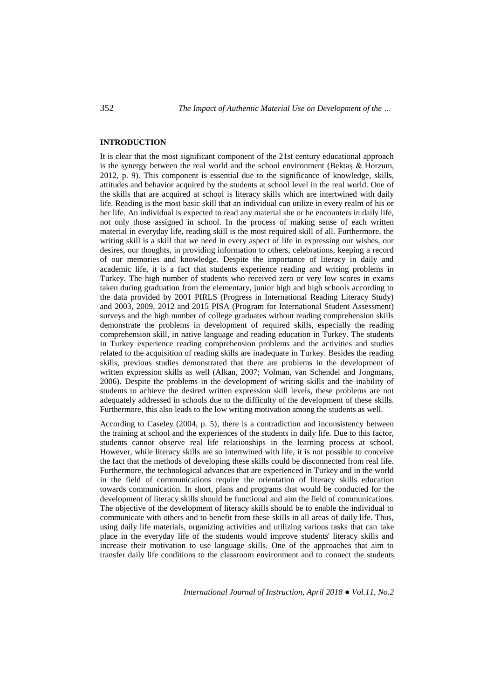## **INTRODUCTION**

It is clear that the most significant component of the 21st century educational approach is the synergy between the real world and the school environment (Bektaş & Horzum, 2012, p. 9). This component is essential due to the significance of knowledge, skills, attitudes and behavior acquired by the students at school level in the real world. One of the skills that are acquired at school is literacy skills which are intertwined with daily life. Reading is the most basic skill that an individual can utilize in every realm of his or her life. An individual is expected to read any material she or he encounters in daily life, not only those assigned in school. In the process of making sense of each written material in everyday life, reading skill is the most required skill of all. Furthermore, the writing skill is a skill that we need in every aspect of life in expressing our wishes, our desires, our thoughts, in providing information to others, celebrations, keeping a record of our memories and knowledge. Despite the importance of literacy in daily and academic life, it is a fact that students experience reading and writing problems in Turkey. The high number of students who received zero or very low scores in exams taken during graduation from the elementary, junior high and high schools according to the data provided by 2001 PIRLS (Progress in International Reading Literacy Study) and 2003, 2009, 2012 and 2015 PISA (Program for International Student Assessment) surveys and the high number of college graduates without reading comprehension skills demonstrate the problems in development of required skills, especially the reading comprehension skill, in native language and reading education in Turkey. The students in Turkey experience reading comprehension problems and the activities and studies related to the acquisition of reading skills are inadequate in Turkey. Besides the reading skills, previous studies demonstrated that there are problems in the development of written expression skills as well (Alkan, 2007; Volman, van Schendel and Jongmans, 2006). Despite the problems in the development of writing skills and the inability of students to achieve the desired written expression skill levels, these problems are not adequately addressed in schools due to the difficulty of the development of these skills. Furthermore, this also leads to the low writing motivation among the students as well.

According to Caseley (2004, p. 5), there is a contradiction and inconsistency between the training at school and the experiences of the students in daily life. Due to this factor, students cannot observe real life relationships in the learning process at school. However, while literacy skills are so intertwined with life, it is not possible to conceive the fact that the methods of developing these skills could be disconnected from real life. Furthermore, the technological advances that are experienced in Turkey and in the world in the field of communications require the orientation of literacy skills education towards communication. In short, plans and programs that would be conducted for the development of literacy skills should be functional and aim the field of communications. The objective of the development of literacy skills should be to enable the individual to communicate with others and to benefit from these skills in all areas of daily life. Thus, using daily life materials, organizing activities and utilizing various tasks that can take place in the everyday life of the students would improve students' literacy skills and increase their motivation to use language skills. One of the approaches that aim to transfer daily life conditions to the classroom environment and to connect the students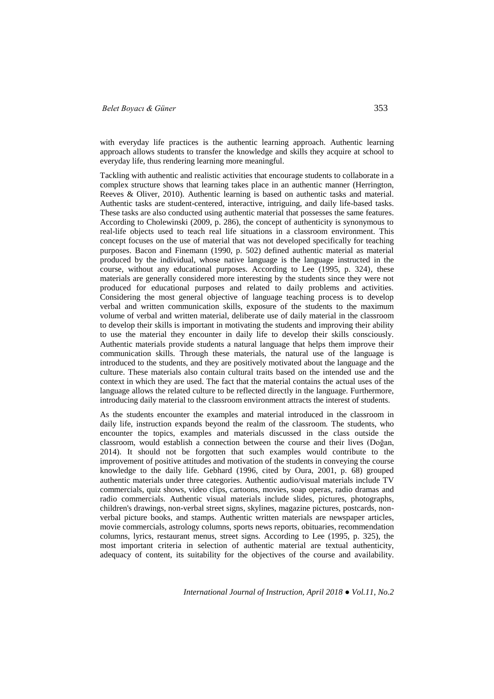## *Belet Boyacı & Güner* 353

with everyday life practices is the authentic learning approach. Authentic learning approach allows students to transfer the knowledge and skills they acquire at school to everyday life, thus rendering learning more meaningful.

Tackling with authentic and realistic activities that encourage students to collaborate in a complex structure shows that learning takes place in an authentic manner (Herrington, Reeves & Oliver, 2010). Authentic learning is based on authentic tasks and material. Authentic tasks are student-centered, interactive, intriguing, and daily life-based tasks. These tasks are also conducted using authentic material that possesses the same features. According to Cholewinski (2009, p. 286), the concept of authenticity is synonymous to real-life objects used to teach real life situations in a classroom environment. This concept focuses on the use of material that was not developed specifically for teaching purposes. Bacon and Finemann (1990, p. 502) defined authentic material as material produced by the individual, whose native language is the language instructed in the course, without any educational purposes. According to Lee (1995, p. 324), these materials are generally considered more interesting by the students since they were not produced for educational purposes and related to daily problems and activities. Considering the most general objective of language teaching process is to develop verbal and written communication skills, exposure of the students to the maximum volume of verbal and written material, deliberate use of daily material in the classroom to develop their skills is important in motivating the students and improving their ability to use the material they encounter in daily life to develop their skills consciously. Authentic materials provide students a natural language that helps them improve their communication skills. Through these materials, the natural use of the language is introduced to the students, and they are positively motivated about the language and the culture. These materials also contain cultural traits based on the intended use and the context in which they are used. The fact that the material contains the actual uses of the language allows the related culture to be reflected directly in the language. Furthermore, introducing daily material to the classroom environment attracts the interest of students.

As the students encounter the examples and material introduced in the classroom in daily life, instruction expands beyond the realm of the classroom. The students, who encounter the topics, examples and materials discussed in the class outside the classroom, would establish a connection between the course and their lives (Doğan, 2014). It should not be forgotten that such examples would contribute to the improvement of positive attitudes and motivation of the students in conveying the course knowledge to the daily life. Gebhard (1996, cited by Oura, 2001, p. 68) grouped authentic materials under three categories. Authentic audio/visual materials include TV commercials, quiz shows, video clips, cartoons, movies, soap operas, radio dramas and radio commercials. Authentic visual materials include slides, pictures, photographs, children's drawings, non-verbal street signs, skylines, magazine pictures, postcards, nonverbal picture books, and stamps. Authentic written materials are newspaper articles, movie commercials, astrology columns, sports news reports, obituaries, recommendation columns, lyrics, restaurant menus, street signs. According to Lee (1995, p. 325), the most important criteria in selection of authentic material are textual authenticity, adequacy of content, its suitability for the objectives of the course and availability.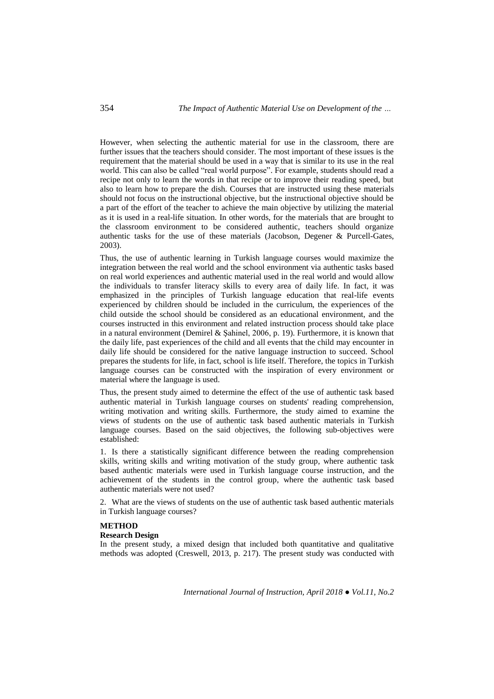However, when selecting the authentic material for use in the classroom, there are further issues that the teachers should consider. The most important of these issues is the requirement that the material should be used in a way that is similar to its use in the real world. This can also be called "real world purpose". For example, students should read a recipe not only to learn the words in that recipe or to improve their reading speed, but also to learn how to prepare the dish. Courses that are instructed using these materials should not focus on the instructional objective, but the instructional objective should be a part of the effort of the teacher to achieve the main objective by utilizing the material as it is used in a real-life situation. In other words, for the materials that are brought to the classroom environment to be considered authentic, teachers should organize authentic tasks for the use of these materials (Jacobson, Degener & Purcell-Gates, 2003).

Thus, the use of authentic learning in Turkish language courses would maximize the integration between the real world and the school environment via authentic tasks based on real world experiences and authentic material used in the real world and would allow the individuals to transfer literacy skills to every area of daily life. In fact, it was emphasized in the principles of Turkish language education that real-life events experienced by children should be included in the curriculum, the experiences of the child outside the school should be considered as an educational environment, and the courses instructed in this environment and related instruction process should take place in a natural environment (Demirel & Şahinel, 2006, p. 19). Furthermore, it is known that the daily life, past experiences of the child and all events that the child may encounter in daily life should be considered for the native language instruction to succeed. School prepares the students for life, in fact, school is life itself. Therefore, the topics in Turkish language courses can be constructed with the inspiration of every environment or material where the language is used.

Thus, the present study aimed to determine the effect of the use of authentic task based authentic material in Turkish language courses on students' reading comprehension, writing motivation and writing skills. Furthermore, the study aimed to examine the views of students on the use of authentic task based authentic materials in Turkish language courses. Based on the said objectives, the following sub-objectives were established:

1. Is there a statistically significant difference between the reading comprehension skills, writing skills and writing motivation of the study group, where authentic task based authentic materials were used in Turkish language course instruction, and the achievement of the students in the control group, where the authentic task based authentic materials were not used?

2. What are the views of students on the use of authentic task based authentic materials in Turkish language courses?

## **METHOD**

## **Research Design**

In the present study, a mixed design that included both quantitative and qualitative methods was adopted (Creswell, 2013, p. 217). The present study was conducted with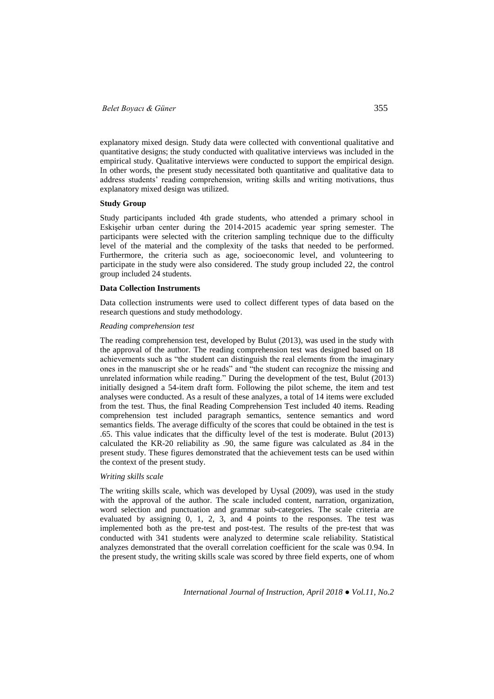explanatory mixed design. Study data were collected with conventional qualitative and quantitative designs; the study conducted with qualitative interviews was included in the empirical study. Qualitative interviews were conducted to support the empirical design. In other words, the present study necessitated both quantitative and qualitative data to address students' reading comprehension, writing skills and writing motivations, thus explanatory mixed design was utilized.

### **Study Group**

Study participants included 4th grade students, who attended a primary school in Eskişehir urban center during the 2014-2015 academic year spring semester. The participants were selected with the criterion sampling technique due to the difficulty level of the material and the complexity of the tasks that needed to be performed. Furthermore, the criteria such as age, socioeconomic level, and volunteering to participate in the study were also considered. The study group included 22, the control group included 24 students.

#### **Data Collection Instruments**

Data collection instruments were used to collect different types of data based on the research questions and study methodology.

### *Reading comprehension test*

The reading comprehension test, developed by Bulut (2013), was used in the study with the approval of the author. The reading comprehension test was designed based on 18 achievements such as "the student can distinguish the real elements from the imaginary ones in the manuscript she or he reads" and "the student can recognize the missing and unrelated information while reading." During the development of the test, Bulut (2013) initially designed a 54-item draft form. Following the pilot scheme, the item and test analyses were conducted. As a result of these analyzes, a total of 14 items were excluded from the test. Thus, the final Reading Comprehension Test included 40 items. Reading comprehension test included paragraph semantics, sentence semantics and word semantics fields. The average difficulty of the scores that could be obtained in the test is .65. This value indicates that the difficulty level of the test is moderate. Bulut (2013) calculated the KR-20 reliability as .90, the same figure was calculated as .84 in the present study. These figures demonstrated that the achievement tests can be used within the context of the present study.

### *Writing skills scale*

The writing skills scale, which was developed by Uysal (2009), was used in the study with the approval of the author. The scale included content, narration, organization, word selection and punctuation and grammar sub-categories. The scale criteria are evaluated by assigning 0, 1, 2, 3, and 4 points to the responses. The test was implemented both as the pre-test and post-test. The results of the pre-test that was conducted with 341 students were analyzed to determine scale reliability. Statistical analyzes demonstrated that the overall correlation coefficient for the scale was 0.94. In the present study, the writing skills scale was scored by three field experts, one of whom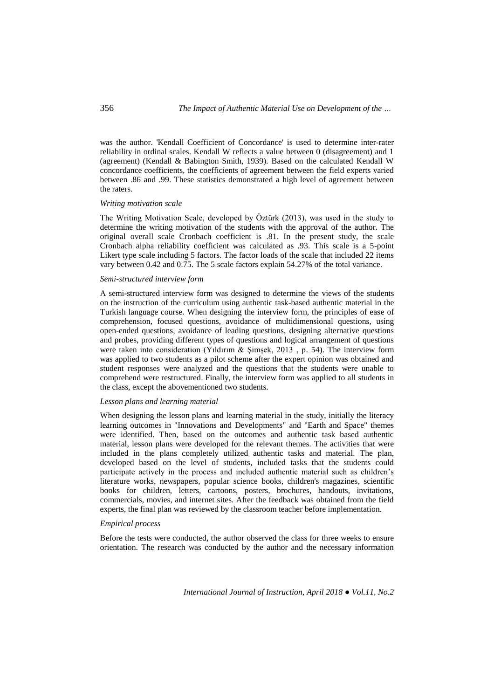was the author. 'Kendall Coefficient of Concordance' is used to determine inter-rater reliability in ordinal scales. Kendall W reflects a value between 0 (disagreement) and 1 (agreement) (Kendall & Babington Smith, 1939). Based on the calculated Kendall W concordance coefficients, the coefficients of agreement between the field experts varied between .86 and .99. These statistics demonstrated a high level of agreement between the raters.

## *Writing motivation scale*

The Writing Motivation Scale, developed by Öztürk (2013), was used in the study to determine the writing motivation of the students with the approval of the author. The original overall scale Cronbach coefficient is .81. In the present study, the scale Cronbach alpha reliability coefficient was calculated as .93. This scale is a 5-point Likert type scale including 5 factors. The factor loads of the scale that included 22 items vary between 0.42 and 0.75. The 5 scale factors explain 54.27% of the total variance.

### *Semi-structured interview form*

A semi-structured interview form was designed to determine the views of the students on the instruction of the curriculum using authentic task-based authentic material in the Turkish language course. When designing the interview form, the principles of ease of comprehension, focused questions, avoidance of multidimensional questions, using open-ended questions, avoidance of leading questions, designing alternative questions and probes, providing different types of questions and logical arrangement of questions were taken into consideration (Yıldırım & Şimşek, 2013 , p. 54). The interview form was applied to two students as a pilot scheme after the expert opinion was obtained and student responses were analyzed and the questions that the students were unable to comprehend were restructured. Finally, the interview form was applied to all students in the class, except the abovementioned two students.

### *Lesson plans and learning material*

When designing the lesson plans and learning material in the study, initially the literacy learning outcomes in "Innovations and Developments" and "Earth and Space" themes were identified. Then, based on the outcomes and authentic task based authentic material, lesson plans were developed for the relevant themes. The activities that were included in the plans completely utilized authentic tasks and material. The plan, developed based on the level of students, included tasks that the students could participate actively in the process and included authentic material such as children's literature works, newspapers, popular science books, children's magazines, scientific books for children, letters, cartoons, posters, brochures, handouts, invitations, commercials, movies, and internet sites. After the feedback was obtained from the field experts, the final plan was reviewed by the classroom teacher before implementation.

## *Empirical process*

Before the tests were conducted, the author observed the class for three weeks to ensure orientation. The research was conducted by the author and the necessary information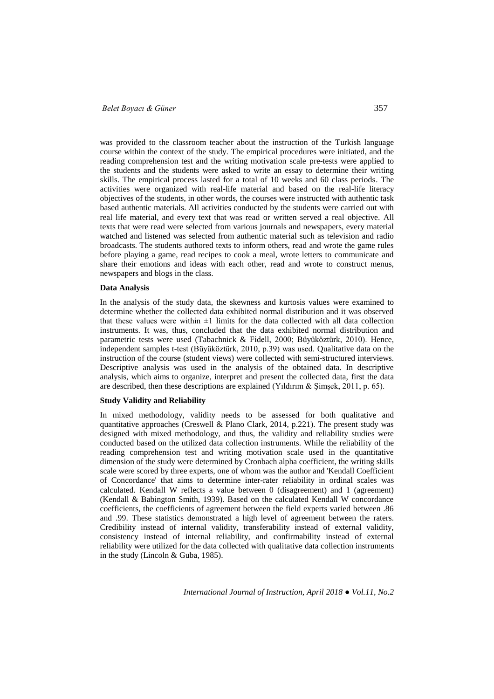was provided to the classroom teacher about the instruction of the Turkish language course within the context of the study. The empirical procedures were initiated, and the reading comprehension test and the writing motivation scale pre-tests were applied to the students and the students were asked to write an essay to determine their writing skills. The empirical process lasted for a total of 10 weeks and 60 class periods. The activities were organized with real-life material and based on the real-life literacy objectives of the students, in other words, the courses were instructed with authentic task based authentic materials. All activities conducted by the students were carried out with real life material, and every text that was read or written served a real objective. All texts that were read were selected from various journals and newspapers, every material watched and listened was selected from authentic material such as television and radio broadcasts. The students authored texts to inform others, read and wrote the game rules before playing a game, read recipes to cook a meal, wrote letters to communicate and share their emotions and ideas with each other, read and wrote to construct menus, newspapers and blogs in the class.

#### **Data Analysis**

In the analysis of the study data, the skewness and kurtosis values were examined to determine whether the collected data exhibited normal distribution and it was observed that these values were within  $\pm 1$  limits for the data collected with all data collection instruments. It was, thus, concluded that the data exhibited normal distribution and parametric tests were used (Tabachnick & Fidell, 2000; Büyüköztürk, 2010). Hence, independent samples t-test (Büyüköztürk, 2010, p.39) was used. Qualitative data on the instruction of the course (student views) were collected with semi-structured interviews. Descriptive analysis was used in the analysis of the obtained data. In descriptive analysis, which aims to organize, interpret and present the collected data, first the data are described, then these descriptions are explained (Yıldırım & Şimşek, 2011, p. 65).

#### **Study Validity and Reliability**

In mixed methodology, validity needs to be assessed for both qualitative and quantitative approaches (Creswell & Plano Clark, 2014, p.221). The present study was designed with mixed methodology, and thus, the validity and reliability studies were conducted based on the utilized data collection instruments. While the reliability of the reading comprehension test and writing motivation scale used in the quantitative dimension of the study were determined by Cronbach alpha coefficient, the writing skills scale were scored by three experts, one of whom was the author and 'Kendall Coefficient of Concordance' that aims to determine inter-rater reliability in ordinal scales was calculated. Kendall W reflects a value between 0 (disagreement) and 1 (agreement) (Kendall & Babington Smith, 1939). Based on the calculated Kendall W concordance coefficients, the coefficients of agreement between the field experts varied between .86 and .99. These statistics demonstrated a high level of agreement between the raters. Credibility instead of internal validity, transferability instead of external validity, consistency instead of internal reliability, and confirmability instead of external reliability were utilized for the data collected with qualitative data collection instruments in the study (Lincoln & Guba, 1985).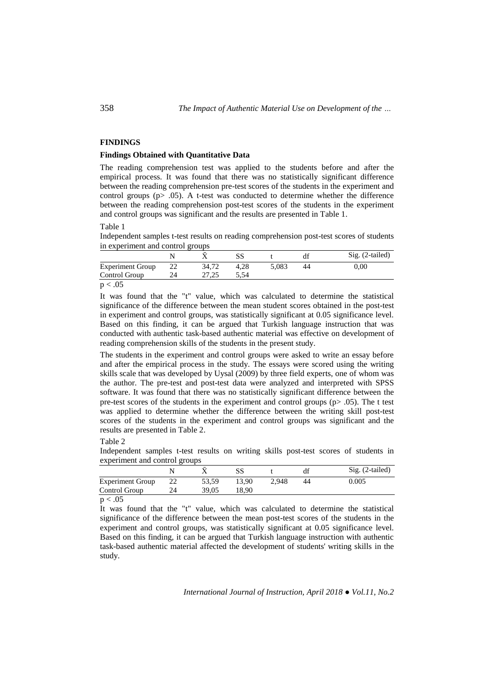## **FINDINGS**

## **Findings Obtained with Quantitative Data**

The reading comprehension test was applied to the students before and after the empirical process. It was found that there was no statistically significant difference between the reading comprehension pre-test scores of the students in the experiment and control groups ( $p$   $>$  .05). A t-test was conducted to determine whether the difference between the reading comprehension post-test scores of the students in the experiment and control groups was significant and the results are presented in Table 1.

Table 1

Independent samples t-test results on reading comprehension post-test scores of students in experiment and control groups

|                         |       |      |       |    | $Sig. (2-tailed)$ |
|-------------------------|-------|------|-------|----|-------------------|
| <b>Experiment Group</b> | 34.72 | 4.28 | 5.083 | 44 | $0.00\,$          |
| Control Group           |       | 5.54 |       |    |                   |
| n < 05                  |       |      |       |    |                   |

 $p < .05$ 

It was found that the "t" value, which was calculated to determine the statistical significance of the difference between the mean student scores obtained in the post-test in experiment and control groups, was statistically significant at 0.05 significance level. Based on this finding, it can be argued that Turkish language instruction that was conducted with authentic task-based authentic material was effective on development of reading comprehension skills of the students in the present study.

The students in the experiment and control groups were asked to write an essay before and after the empirical process in the study. The essays were scored using the writing skills scale that was developed by Uysal (2009) by three field experts, one of whom was the author. The pre-test and post-test data were analyzed and interpreted with SPSS software. It was found that there was no statistically significant difference between the pre-test scores of the students in the experiment and control groups (p> .05). The t test was applied to determine whether the difference between the writing skill post-test scores of the students in the experiment and control groups was significant and the results are presented in Table 2.

Table 2

Independent samples t-test results on writing skills post-test scores of students in experiment and control groups

|                         |       |       |       | df | $Sig. (2-tailed)$ |
|-------------------------|-------|-------|-------|----|-------------------|
| <b>Experiment Group</b> | 53.59 | 13.90 | 2.948 | 44 | 0.005             |
| Control Group           | 39.05 | 18.90 |       |    |                   |
| $\sim$                  |       |       |       |    |                   |

 $p < .05$ 

It was found that the "t" value, which was calculated to determine the statistical significance of the difference between the mean post-test scores of the students in the experiment and control groups, was statistically significant at 0.05 significance level. Based on this finding, it can be argued that Turkish language instruction with authentic task-based authentic material affected the development of students' writing skills in the study.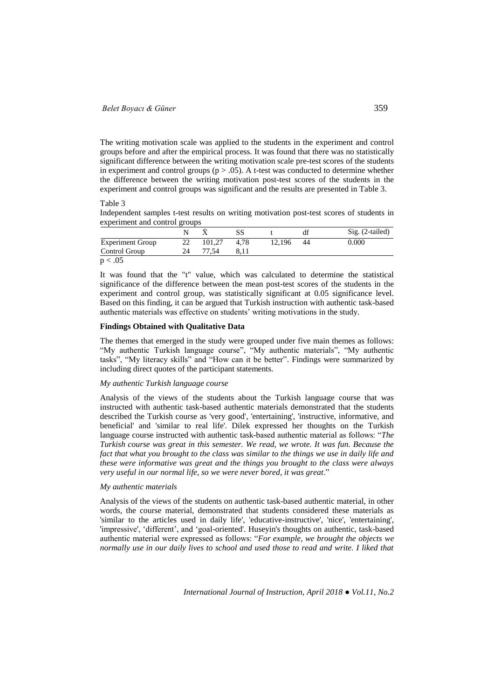The writing motivation scale was applied to the students in the experiment and control groups before and after the empirical process. It was found that there was no statistically significant difference between the writing motivation scale pre-test scores of the students in experiment and control groups ( $p > .05$ ). A t-test was conducted to determine whether the difference between the writing motivation post-test scores of the students in the experiment and control groups was significant and the results are presented in Table 3.

Table 3

Independent samples t-test results on writing motivation post-test scores of students in experiment and control groups

|                         |    |        |      |        | df | $Sig. (2-tailed)$ |
|-------------------------|----|--------|------|--------|----|-------------------|
| <b>Experiment Group</b> | 22 | 101.27 | 4.78 | 12.196 | 44 | 0.000             |
| Control Group           | 24 | .54    | 8.11 |        |    |                   |
| n < 05                  |    |        |      |        |    |                   |

 $p < .05$ 

It was found that the "t" value, which was calculated to determine the statistical significance of the difference between the mean post-test scores of the students in the experiment and control group, was statistically significant at 0.05 significance level. Based on this finding, it can be argued that Turkish instruction with authentic task-based authentic materials was effective on students' writing motivations in the study.

## **Findings Obtained with Qualitative Data**

The themes that emerged in the study were grouped under five main themes as follows: "My authentic Turkish language course", "My authentic materials", "My authentic tasks", "My literacy skills" and "How can it be better". Findings were summarized by including direct quotes of the participant statements.

#### *My authentic Turkish language course*

Analysis of the views of the students about the Turkish language course that was instructed with authentic task-based authentic materials demonstrated that the students described the Turkish course as 'very good', 'entertaining', 'instructive, informative, and beneficial' and 'similar to real life'. Dilek expressed her thoughts on the Turkish language course instructed with authentic task-based authentic material as follows: "*The Turkish course was great in this semester. We read, we wrote. It was fun. Because the fact that what you brought to the class was similar to the things we use in daily life and these were informative was great and the things you brought to the class were always very useful in our normal life, so we were never bored, it was great*."

### *My authentic materials*

Analysis of the views of the students on authentic task-based authentic material, in other words, the course material, demonstrated that students considered these materials as 'similar to the articles used in daily life', 'educative-instructive', 'nice', 'entertaining', 'impressive', 'different', and 'goal-oriented'. Huseyin's thoughts on authentic, task-based authentic material were expressed as follows: "*For example, we brought the objects we normally use in our daily lives to school and used those to read and write. I liked that*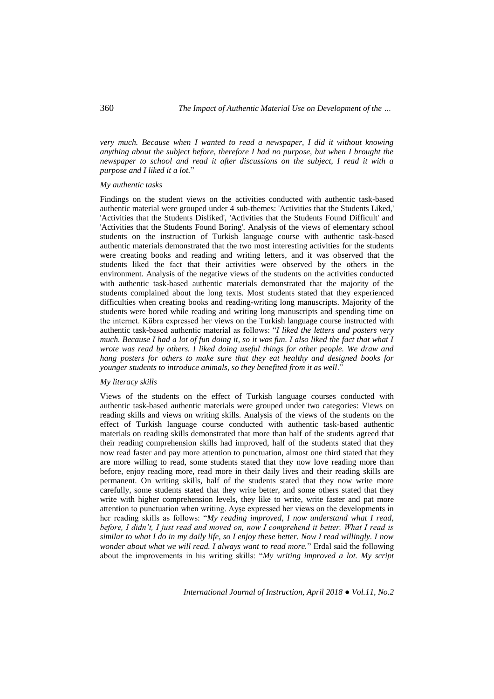*very much. Because when I wanted to read a newspaper, I did it without knowing anything about the subject before, therefore I had no purpose, but when I brought the newspaper to school and read it after discussions on the subject, I read it with a purpose and I liked it a lot.*"

#### *My authentic tasks*

Findings on the student views on the activities conducted with authentic task-based authentic material were grouped under 4 sub-themes: 'Activities that the Students Liked,' 'Activities that the Students Disliked', 'Activities that the Students Found Difficult' and 'Activities that the Students Found Boring'. Analysis of the views of elementary school students on the instruction of Turkish language course with authentic task-based authentic materials demonstrated that the two most interesting activities for the students were creating books and reading and writing letters, and it was observed that the students liked the fact that their activities were observed by the others in the environment. Analysis of the negative views of the students on the activities conducted with authentic task-based authentic materials demonstrated that the majority of the students complained about the long texts. Most students stated that they experienced difficulties when creating books and reading-writing long manuscripts. Majority of the students were bored while reading and writing long manuscripts and spending time on the internet. Kübra expressed her views on the Turkish language course instructed with authentic task-based authentic material as follows: "*I liked the letters and posters very much. Because I had a lot of fun doing it, so it was fun. I also liked the fact that what I wrote was read by others. I liked doing useful things for other people. We draw and hang posters for others to make sure that they eat healthy and designed books for younger students to introduce animals, so they benefited from it as well*."

### *My literacy skills*

Views of the students on the effect of Turkish language courses conducted with authentic task-based authentic materials were grouped under two categories: Views on reading skills and views on writing skills. Analysis of the views of the students on the effect of Turkish language course conducted with authentic task-based authentic materials on reading skills demonstrated that more than half of the students agreed that their reading comprehension skills had improved, half of the students stated that they now read faster and pay more attention to punctuation, almost one third stated that they are more willing to read, some students stated that they now love reading more than before, enjoy reading more, read more in their daily lives and their reading skills are permanent. On writing skills, half of the students stated that they now write more carefully, some students stated that they write better, and some others stated that they write with higher comprehension levels, they like to write, write faster and pat more attention to punctuation when writing. Ayşe expressed her views on the developments in her reading skills as follows: "*My reading improved, I now understand what I read, before, I didn't, I just read and moved on, now I comprehend it better. What I read is similar to what I do in my daily life, so I enjoy these better. Now I read willingly. I now wonder about what we will read. I always want to read more.*" Erdal said the following about the improvements in his writing skills: "*My writing improved a lot. My script*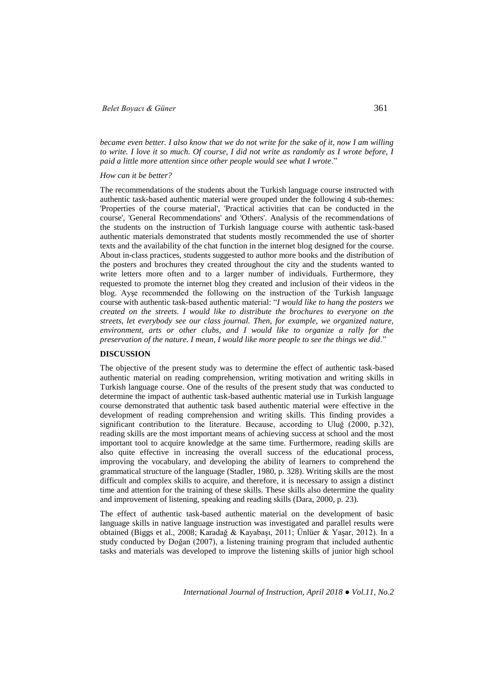## *Belet Boyacı & Güner* 361

*became even better. I also know that we do not write for the sake of it, now I am willing to write. I love it so much. Of course, I did not write as randomly as I wrote before, I paid a little more attention since other people would see what I wrote*."

#### *How can it be better?*

The recommendations of the students about the Turkish language course instructed with authentic task-based authentic material were grouped under the following 4 sub-themes: 'Properties of the course material', 'Practical activities that can be conducted in the course', 'General Recommendations' and 'Others'. Analysis of the recommendations of the students on the instruction of Turkish language course with authentic task-based authentic materials demonstrated that students mostly recommended the use of shorter texts and the availability of the chat function in the internet blog designed for the course. About in-class practices, students suggested to author more books and the distribution of the posters and brochures they created throughout the city and the students wanted to write letters more often and to a larger number of individuals. Furthermore, they requested to promote the internet blog they created and inclusion of their videos in the blog. Ayşe recommended the following on the instruction of the Turkish language course with authentic task-based authentic material: "*I would like to hang the posters we created on the streets. I would like to distribute the brochures to everyone on the streets, let everybody see our class journal. Then, for example, we organized nature, environment, arts or other clubs, and I would like to organize a rally for the preservation of the nature. I mean, I would like more people to see the things we did*."

#### **DISCUSSION**

The objective of the present study was to determine the effect of authentic task-based authentic material on reading comprehension, writing motivation and writing skills in Turkish language course. One of the results of the present study that was conducted to determine the impact of authentic task-based authentic material use in Turkish language course demonstrated that authentic task based authentic material were effective in the development of reading comprehension and writing skills. This finding provides a significant contribution to the literature. Because, according to Uluğ (2000, p.32), reading skills are the most important means of achieving success at school and the most important tool to acquire knowledge at the same time. Furthermore, reading skills are also quite effective in increasing the overall success of the educational process, improving the vocabulary, and developing the ability of learners to comprehend the grammatical structure of the language (Stadler, 1980, p. 328). Writing skills are the most difficult and complex skills to acquire, and therefore, it is necessary to assign a distinct time and attention for the training of these skills. These skills also determine the quality and improvement of listening, speaking and reading skills (Dara, 2000, p. 23).

The effect of authentic task-based authentic material on the development of basic language skills in native language instruction was investigated and parallel results were obtained (Biggs et al., 2008; Karadağ & Kayabaşı, 2011; Ünlüer & Yaşar, 2012). In a study conducted by Doğan (2007), a listening training program that included authentic tasks and materials was developed to improve the listening skills of junior high school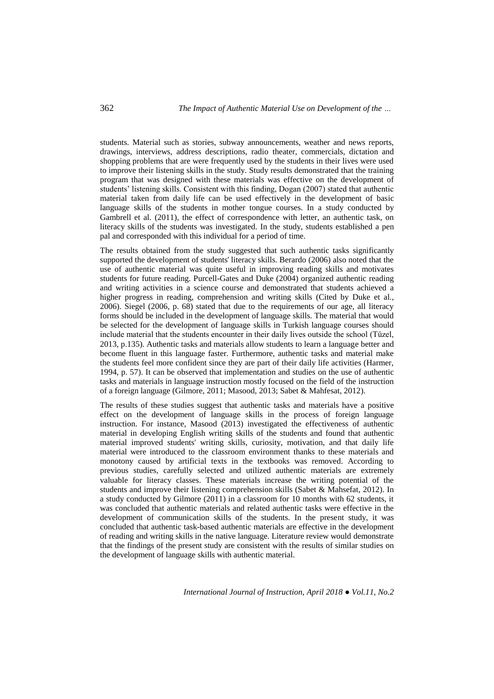students. Material such as stories, subway announcements, weather and news reports, drawings, interviews, address descriptions, radio theater, commercials, dictation and shopping problems that are were frequently used by the students in their lives were used to improve their listening skills in the study. Study results demonstrated that the training program that was designed with these materials was effective on the development of students' listening skills. Consistent with this finding, Dogan (2007) stated that authentic material taken from daily life can be used effectively in the development of basic language skills of the students in mother tongue courses. In a study conducted by Gambrell et al. (2011), the effect of correspondence with letter, an authentic task, on literacy skills of the students was investigated. In the study, students established a pen pal and corresponded with this individual for a period of time.

The results obtained from the study suggested that such authentic tasks significantly supported the development of students' literacy skills. Berardo (2006) also noted that the use of authentic material was quite useful in improving reading skills and motivates students for future reading. Purcell-Gates and Duke (2004) organized authentic reading and writing activities in a science course and demonstrated that students achieved a higher progress in reading, comprehension and writing skills (Cited by Duke et al., 2006). Siegel (2006, p. 68) stated that due to the requirements of our age, all literacy forms should be included in the development of language skills. The material that would be selected for the development of language skills in Turkish language courses should include material that the students encounter in their daily lives outside the school (Tüzel, 2013, p.135). Authentic tasks and materials allow students to learn a language better and become fluent in this language faster. Furthermore, authentic tasks and material make the students feel more confident since they are part of their daily life activities (Harmer, 1994, p. 57). It can be observed that implementation and studies on the use of authentic tasks and materials in language instruction mostly focused on the field of the instruction of a foreign language (Gilmore, 2011; Masood, 2013; Sabet & Mahfesat, 2012).

The results of these studies suggest that authentic tasks and materials have a positive effect on the development of language skills in the process of foreign language instruction. For instance, Masood (2013) investigated the effectiveness of authentic material in developing English writing skills of the students and found that authentic material improved students' writing skills, curiosity, motivation, and that daily life material were introduced to the classroom environment thanks to these materials and monotony caused by artificial texts in the textbooks was removed. According to previous studies, carefully selected and utilized authentic materials are extremely valuable for literacy classes. These materials increase the writing potential of the students and improve their listening comprehension skills (Sabet & Mahsefat, 2012). In a study conducted by Gilmore (2011) in a classroom for 10 months with 62 students, it was concluded that authentic materials and related authentic tasks were effective in the development of communication skills of the students. In the present study, it was concluded that authentic task-based authentic materials are effective in the development of reading and writing skills in the native language. Literature review would demonstrate that the findings of the present study are consistent with the results of similar studies on the development of language skills with authentic material.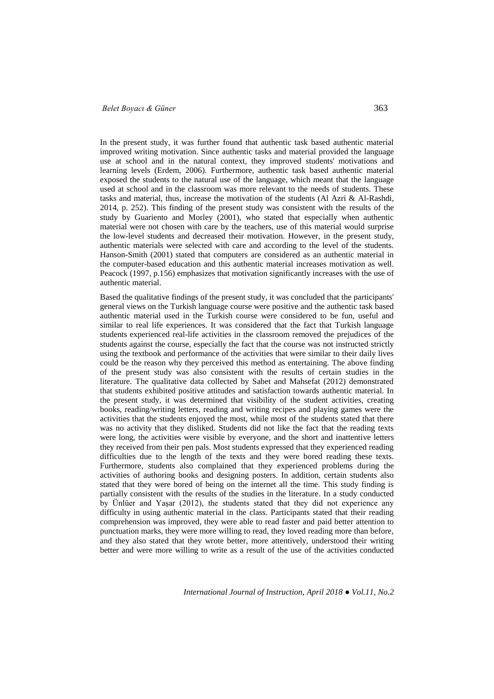## *Belet Boyacı & Güner* 363

In the present study, it was further found that authentic task based authentic material improved writing motivation. Since authentic tasks and material provided the language use at school and in the natural context, they improved students' motivations and learning levels (Erdem, 2006). Furthermore, authentic task based authentic material exposed the students to the natural use of the language, which meant that the language used at school and in the classroom was more relevant to the needs of students. These tasks and material, thus, increase the motivation of the students (Al Azri & Al-Rashdi, 2014, p. 252). This finding of the present study was consistent with the results of the study by Guariento and Morley (2001), who stated that especially when authentic material were not chosen with care by the teachers, use of this material would surprise the low-level students and decreased their motivation. However, in the present study, authentic materials were selected with care and according to the level of the students. Hanson-Smith (2001) stated that computers are considered as an authentic material in the computer-based education and this authentic material increases motivation as well. Peacock (1997, p.156) emphasizes that motivation significantly increases with the use of authentic material.

Based the qualitative findings of the present study, it was concluded that the participants' general views on the Turkish language course were positive and the authentic task based authentic material used in the Turkish course were considered to be fun, useful and similar to real life experiences. It was considered that the fact that Turkish language students experienced real-life activities in the classroom removed the prejudices of the students against the course, especially the fact that the course was not instructed strictly using the textbook and performance of the activities that were similar to their daily lives could be the reason why they perceived this method as entertaining. The above finding of the present study was also consistent with the results of certain studies in the literature. The qualitative data collected by Sabet and Mahsefat (2012) demonstrated that students exhibited positive attitudes and satisfaction towards authentic material. In the present study, it was determined that visibility of the student activities, creating books, reading/writing letters, reading and writing recipes and playing games were the activities that the students enjoyed the most, while most of the students stated that there was no activity that they disliked. Students did not like the fact that the reading texts were long, the activities were visible by everyone, and the short and inattentive letters they received from their pen pals. Most students expressed that they experienced reading difficulties due to the length of the texts and they were bored reading these texts. Furthermore, students also complained that they experienced problems during the activities of authoring books and designing posters. In addition, certain students also stated that they were bored of being on the internet all the time. This study finding is partially consistent with the results of the studies in the literature. In a study conducted by Ünlüer and Yaşar (2012), the students stated that they did not experience any difficulty in using authentic material in the class. Participants stated that their reading comprehension was improved, they were able to read faster and paid better attention to punctuation marks, they were more willing to read, they loved reading more than before, and they also stated that they wrote better, more attentively, understood their writing better and were more willing to write as a result of the use of the activities conducted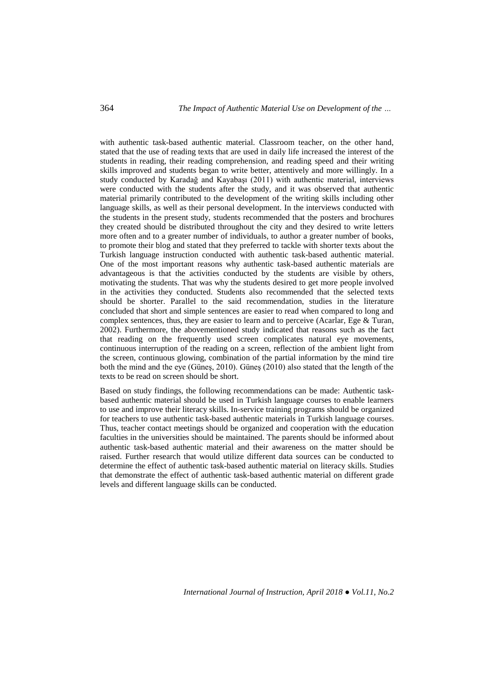with authentic task-based authentic material. Classroom teacher, on the other hand, stated that the use of reading texts that are used in daily life increased the interest of the students in reading, their reading comprehension, and reading speed and their writing skills improved and students began to write better, attentively and more willingly. In a study conducted by Karadağ and Kayabaşı (2011) with authentic material, interviews were conducted with the students after the study, and it was observed that authentic material primarily contributed to the development of the writing skills including other language skills, as well as their personal development. In the interviews conducted with the students in the present study, students recommended that the posters and brochures they created should be distributed throughout the city and they desired to write letters more often and to a greater number of individuals, to author a greater number of books, to promote their blog and stated that they preferred to tackle with shorter texts about the Turkish language instruction conducted with authentic task-based authentic material. One of the most important reasons why authentic task-based authentic materials are advantageous is that the activities conducted by the students are visible by others, motivating the students. That was why the students desired to get more people involved in the activities they conducted. Students also recommended that the selected texts should be shorter. Parallel to the said recommendation, studies in the literature concluded that short and simple sentences are easier to read when compared to long and complex sentences, thus, they are easier to learn and to perceive (Acarlar, Ege & Turan, 2002). Furthermore, the abovementioned study indicated that reasons such as the fact that reading on the frequently used screen complicates natural eye movements, continuous interruption of the reading on a screen, reflection of the ambient light from the screen, continuous glowing, combination of the partial information by the mind tire both the mind and the eye (Güneş, 2010). Güneş (2010) also stated that the length of the texts to be read on screen should be short.

Based on study findings, the following recommendations can be made: Authentic taskbased authentic material should be used in Turkish language courses to enable learners to use and improve their literacy skills. In-service training programs should be organized for teachers to use authentic task-based authentic materials in Turkish language courses. Thus, teacher contact meetings should be organized and cooperation with the education faculties in the universities should be maintained. The parents should be informed about authentic task-based authentic material and their awareness on the matter should be raised. Further research that would utilize different data sources can be conducted to determine the effect of authentic task-based authentic material on literacy skills. Studies that demonstrate the effect of authentic task-based authentic material on different grade levels and different language skills can be conducted.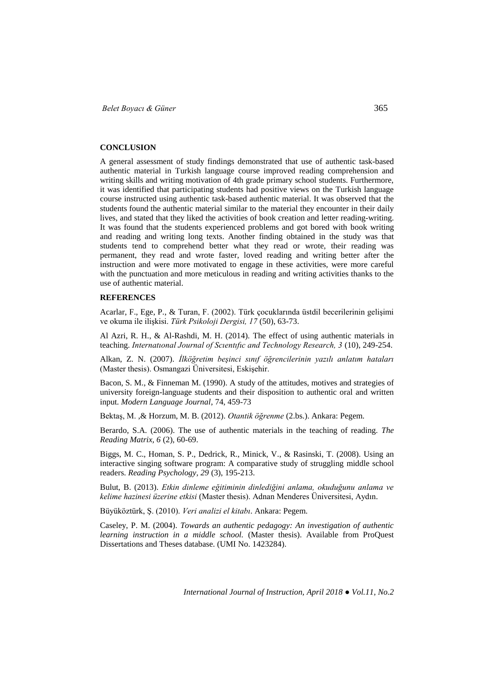#### **CONCLUSION**

A general assessment of study findings demonstrated that use of authentic task-based authentic material in Turkish language course improved reading comprehension and writing skills and writing motivation of 4th grade primary school students. Furthermore, it was identified that participating students had positive views on the Turkish language course instructed using authentic task-based authentic material. It was observed that the students found the authentic material similar to the material they encounter in their daily lives, and stated that they liked the activities of book creation and letter reading-writing. It was found that the students experienced problems and got bored with book writing and reading and writing long texts. Another finding obtained in the study was that students tend to comprehend better what they read or wrote, their reading was permanent, they read and wrote faster, loved reading and writing better after the instruction and were more motivated to engage in these activities, were more careful with the punctuation and more meticulous in reading and writing activities thanks to the use of authentic material.

#### **REFERENCES**

Acarlar, F., Ege, P., & Turan, F. (2002). Türk çocuklarında üstdil becerilerinin gelişimi ve okuma ile ilişkisi. *Türk Psikoloji Dergisi, 17* (50), 63-73.

Al Azri, R. H., & Al-Rashdi, M. H. (2014). The effect of using authentic materials in teaching. *Internatıonal Journal of Scıentıfıc and Technology Research, 3* (10), 249-254.

Alkan, Z. N. (2007). *İlköğretim beşinci sınıf öğrencilerinin yazılı anlatım hataları* (Master thesis). Osmangazi Üniversitesi, Eskişehir.

Bacon, S. M., & Finneman M. (1990). A study of the attitudes, motives and strategies of university foreign-language students and their disposition to authentic oral and written input. *Modern Language Journal*, 74, 459-73

Bektaş, M. ,& Horzum, M. B. (2012). *Otantik öğrenme* (2.bs.). Ankara: Pegem.

Berardo, S.A. (2006). The use of authentic materials in the teaching of reading. *The Reading Matrix, 6* (2), 60-69.

Biggs, M. C., Homan, S. P., Dedrick, R., Minick, V., & Rasinski, T. (2008). Using an interactive singing software program: A comparative study of struggling middle school readers. *Reading Psychology, 29* (3), 195-213.

Bulut, B. (2013). *Etkin dinleme eğitiminin dinlediğini anlama, okuduğunu anlama ve kelime hazinesi üzerine etkisi* (Master thesis). Adnan Menderes Üniversitesi, Aydın.

Büyüköztürk, Ş. (2010). *Veri analizi el kitabı*. Ankara: Pegem.

Caseley, P. M. (2004). *Towards an authentic pedagogy: An investigation of authentic learning instruction in a middle school.* (Master thesis). Available from ProQuest Dissertations and Theses database. (UMI No. 1423284).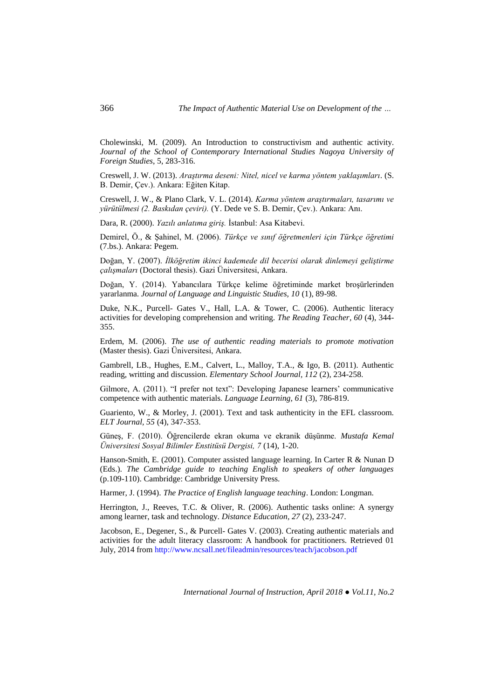Cholewinski, M. (2009). An Introduction to constructivism and authentic activity. *Journal of the School of Contemporary International Studies Nagoya University of Foreign Studies*, 5, 283-316.

Creswell, J. W. (2013). *Araştırma deseni: Nitel, nicel ve karma yöntem yaklaşımları*. (S. B. Demir, Çev.). Ankara: Eğiten Kitap.

Creswell, J. W., & Plano Clark, V. L. (2014). *Karma yöntem araştırmaları, tasarımı ve yürütülmesi (2. Baskıdan çeviri).* (Y. Dede ve S. B. Demir, Çev.). Ankara: Anı.

Dara, R. (2000). *Yazılı anlatıma giriş.* İstanbul: Asa Kitabevi.

Demirel, Ö., & Şahinel, M. (2006). *Türkçe ve sınıf öğretmenleri için Türkçe öğretimi* (7.bs.). Ankara: Pegem.

Doğan, Y. (2007). *İlköğretim ikinci kademede dil becerisi olarak dinlemeyi geliştirme çalışmaları* (Doctoral thesis). Gazi Üniversitesi, Ankara.

Doğan, Y. (2014). Yabancılara Türkçe kelime öğretiminde market broşürlerinden yararlanma. *Journal of Language and Linguistic Studies, 10* (1), 89-98.

Duke, N.K., Purcell- Gates V., Hall, L.A. & Tower, C. (2006). Authentic literacy activities for developing comprehension and writing. *The Reading Teacher, 60* (4), 344- 355.

Erdem, M. (2006). *The use of authentic reading materials to promote motivation*  (Master thesis). Gazi Üniversitesi, Ankara.

Gambrell, LB., Hughes, E.M., Calvert, L., Malloy, T.A., & Igo, B. (2011). Authentic reading, writting and discussion. *Elementary School Journal, 112* (2), 234-258.

Gilmore, A. (2011). "I prefer not text": Developing Japanese learners' communicative competence with authentic materials. *Language Learning, 61* (3), 786-819.

Guariento, W., & Morley, J. (2001). Text and task authenticity in the EFL classroom. *ELT Journal, 55* (4), 347-353.

Güneş, F. (2010). Öğrencilerde ekran okuma ve ekranik düşünme. *Mustafa Kemal Üniversitesi Sosyal Bilimler Enstitüsü Dergisi, 7* (14), 1-20.

Hanson-Smith, E. (2001). Computer assisted language learning. In Carter R & Nunan D (Eds.). *The Cambridge guide to teaching English to speakers of other languages* (p.109-110). Cambridge: Cambridge University Press.

Harmer, J. (1994). *The Practice of English language teaching*. London: Longman.

Herrington, J., Reeves, T.C. & Oliver, R. (2006). Authentic tasks online: A synergy among learner, task and technology. *Distance Education, 27* (2), 233-247.

Jacobson, E., Degener, S., & Purcell- Gates V. (2003). Creating authentic materials and activities for the adult literacy classroom: A handbook for practitioners. Retrieved 01 July, 2014 from<http://www.ncsall.net/fileadmin/resources/teach/jacobson.pdf>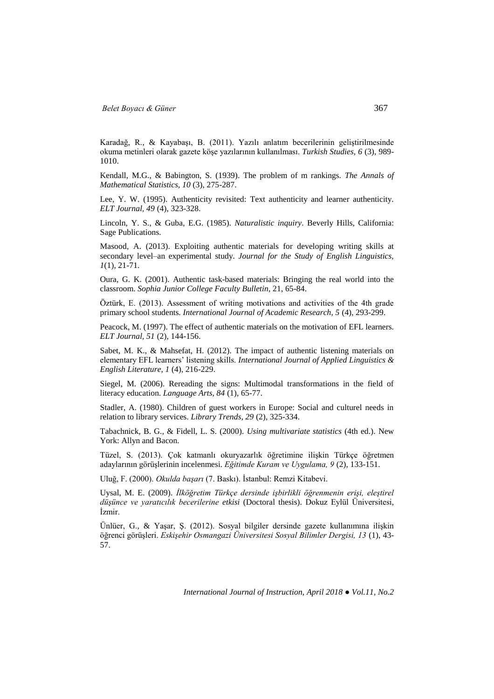Karadağ, R., & Kayabaşı, B. (2011). Yazılı anlatım becerilerinin geliştirilmesinde okuma metinleri olarak gazete köşe yazılarının kullanılması. *Turkish Studies, 6* (3), 989- 1010.

Kendall, M.G., & Babington, S. (1939). The problem of m rankings. *The Annals of Mathematical Statistics, 10* (3), 275-287.

Lee, Y. W. (1995). Authenticity revisited: Text authenticity and learner authenticity. *ELT Journal, 49* (4), 323-328.

Lincoln, Y. S., & Guba, E.G. (1985). *Naturalistic inquiry*. Beverly Hills, California: Sage Publications.

Masood, A. (2013). Exploiting authentic materials for developing writing skills at secondary level–an experimental study. *Journal for the Study of English Linguistics, 1*(1), 21-71.

Oura, G. K. (2001). Authentic task-based materials: Bringing the real world into the classroom. *Sophia Junior College Faculty Bulletin*, 21, 65-84.

Öztürk, E. (2013). Assessment of writing motivations and activities of the 4th grade primary school students*. International Journal of Academic Research, 5* (4), 293-299.

Peacock, M. (1997). The effect of authentic materials on the motivation of EFL learners. *ELT Journal, 51* (2), 144-156.

Sabet, M. K., & Mahsefat, H. (2012). The impact of authentic listening materials on elementary EFL learners' listening skills. *International Journal of Applied Linguistics & English Literature, 1* (4), 216-229.

Siegel, M. (2006). Rereading the signs: Multimodal transformations in the field of literacy education. *Language Arts, 84* (1), 65-77.

Stadler, A. (1980). Children of guest workers in Europe: Social and culturel needs in relation to library services. *Library Trends, 29* (2), 325-334.

Tabachnick, B. G., & Fidell, L. S. (2000). *Using multivariate statistics* (4th ed.). New York: Allyn and Bacon.

Tüzel, S. (2013). Çok katmanlı okuryazarlık öğretimine ilişkin Türkçe öğretmen adaylarının görüşlerinin incelenmesi. *Eğitimde Kuram ve Uygulama, 9* (2), 133-151.

Uluğ, F. (2000). *Okulda başarı* (7. Baskı). İstanbul: Remzi Kitabevi.

Uysal, M. E. (2009). *İlköğretim Türkçe dersinde işbirlikli öğrenmenin erişi, eleştirel düşünce ve yaratıcılık becerilerine etkisi* (Doctoral thesis). Dokuz Eylül Üniversitesi, İzmir.

Ünlüer, G., & Yaşar, Ş. (2012). Sosyal bilgiler dersinde gazete kullanımına ilişkin öğrenci görüşleri. *Eskişehir Osmangazi Üniversitesi Sosyal Bilimler Dergisi, 13* (1), 43- 57.